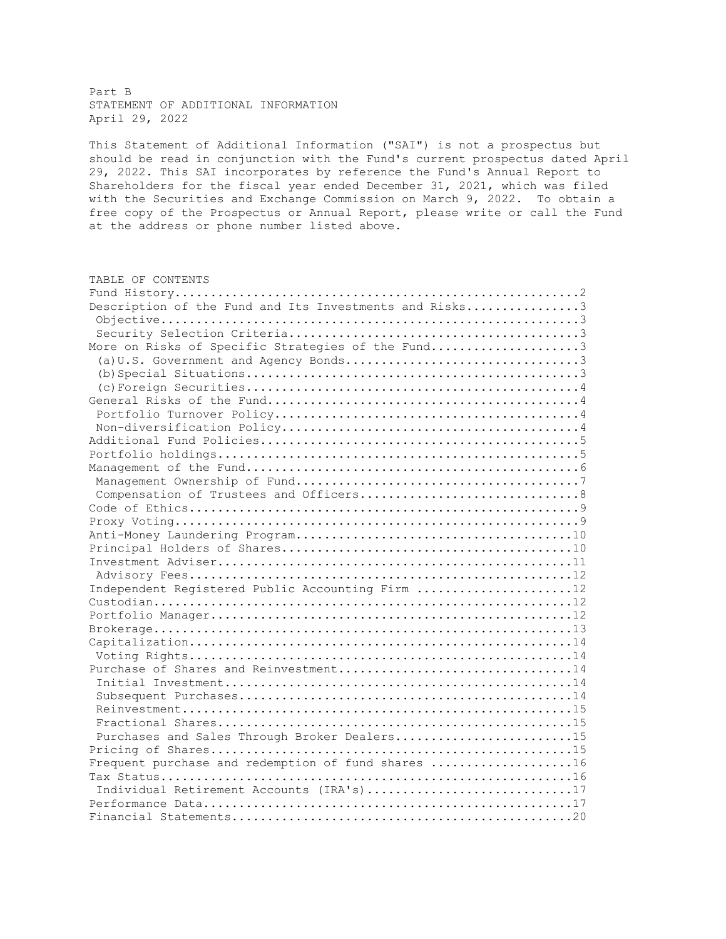Part B STATEMENT OF ADDITIONAL INFORMATION April 29, 2022

This Statement of Additional Information ("SAI") is not a prospectus but should be read in conjunction with the Fund's current prospectus dated April 29, 2022. This SAI incorporates by reference the Fund's Annual Report to Shareholders for the fiscal year ended December 31, 2021, which was filed with the Securities and Exchange Commission on March 9, 2022. To obtain a free copy of the Prospectus or Annual Report, please write or call the Fund at the address or phone number listed above.

| TABLE OF CONTENTS                                      |
|--------------------------------------------------------|
|                                                        |
| Description of the Fund and Its Investments and Risks3 |
|                                                        |
|                                                        |
| More on Risks of Specific Strategies of the Fund3      |
|                                                        |
|                                                        |
|                                                        |
|                                                        |
|                                                        |
|                                                        |
|                                                        |
|                                                        |
|                                                        |
|                                                        |
|                                                        |
|                                                        |
|                                                        |
|                                                        |
|                                                        |
|                                                        |
|                                                        |
| Independent Registered Public Accounting Firm 12       |
|                                                        |
|                                                        |
|                                                        |
|                                                        |
|                                                        |
| Purchase of Shares and Reinvestment14                  |
|                                                        |
|                                                        |
|                                                        |
|                                                        |
| Purchases and Sales Through Broker Dealers15           |
|                                                        |
| Frequent purchase and redemption of fund shares 16     |
|                                                        |
| Individual Retirement Accounts (IRA's)17               |
|                                                        |
|                                                        |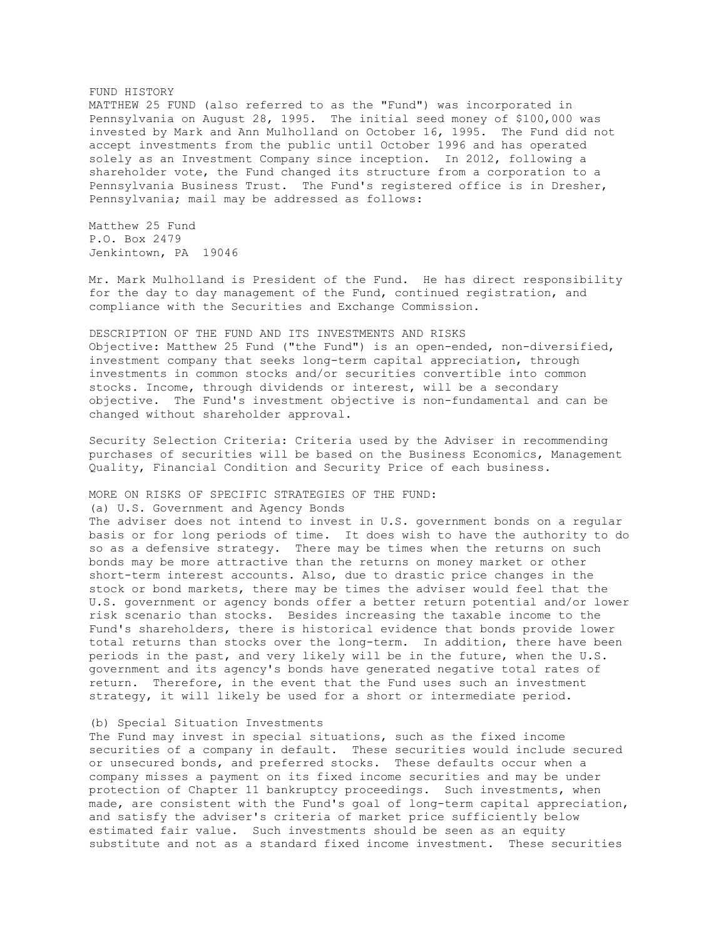### FUND HISTORY

MATTHEW 25 FUND (also referred to as the "Fund") was incorporated in Pennsylvania on August 28, 1995. The initial seed money of \$100,000 was invested by Mark and Ann Mulholland on October 16, 1995. The Fund did not accept investments from the public until October 1996 and has operated solely as an Investment Company since inception. In 2012, following a shareholder vote, the Fund changed its structure from a corporation to a Pennsylvania Business Trust. The Fund's registered office is in Dresher, Pennsylvania; mail may be addressed as follows:

Matthew 25 Fund P.O. Box 2479 Jenkintown, PA 19046

Mr. Mark Mulholland is President of the Fund. He has direct responsibility for the day to day management of the Fund, continued registration, and compliance with the Securities and Exchange Commission.

DESCRIPTION OF THE FUND AND ITS INVESTMENTS AND RISKS Objective: Matthew 25 Fund ("the Fund") is an open-ended, non-diversified, investment company that seeks long-term capital appreciation, through investments in common stocks and/or securities convertible into common stocks. Income, through dividends or interest, will be a secondary objective. The Fund's investment objective is non-fundamental and can be changed without shareholder approval.

Security Selection Criteria: Criteria used by the Adviser in recommending purchases of securities will be based on the Business Economics, Management Quality, Financial Condition and Security Price of each business.

MORE ON RISKS OF SPECIFIC STRATEGIES OF THE FUND:

(a) U.S. Government and Agency Bonds

The adviser does not intend to invest in U.S. government bonds on a regular basis or for long periods of time. It does wish to have the authority to do so as a defensive strategy. There may be times when the returns on such bonds may be more attractive than the returns on money market or other short-term interest accounts. Also, due to drastic price changes in the stock or bond markets, there may be times the adviser would feel that the U.S. government or agency bonds offer a better return potential and/or lower risk scenario than stocks. Besides increasing the taxable income to the Fund's shareholders, there is historical evidence that bonds provide lower total returns than stocks over the long-term. In addition, there have been periods in the past, and very likely will be in the future, when the U.S. government and its agency's bonds have generated negative total rates of return. Therefore, in the event that the Fund uses such an investment strategy, it will likely be used for a short or intermediate period.

## (b) Special Situation Investments

The Fund may invest in special situations, such as the fixed income securities of a company in default. These securities would include secured or unsecured bonds, and preferred stocks. These defaults occur when a company misses a payment on its fixed income securities and may be under protection of Chapter 11 bankruptcy proceedings. Such investments, when made, are consistent with the Fund's goal of long-term capital appreciation, and satisfy the adviser's criteria of market price sufficiently below estimated fair value. Such investments should be seen as an equity substitute and not as a standard fixed income investment. These securities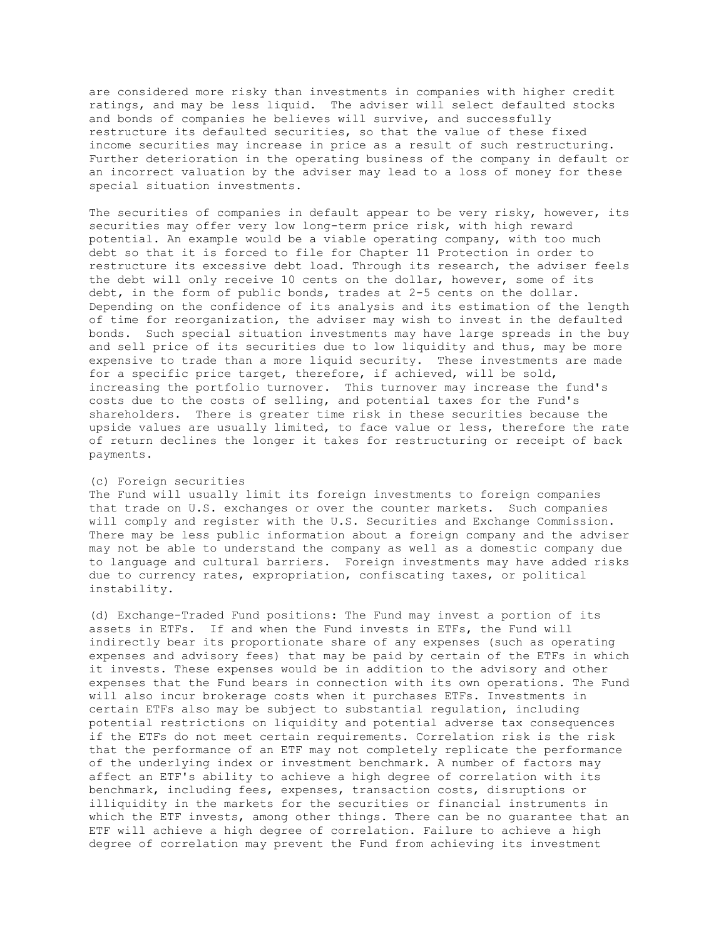are considered more risky than investments in companies with higher credit ratings, and may be less liquid. The adviser will select defaulted stocks and bonds of companies he believes will survive, and successfully restructure its defaulted securities, so that the value of these fixed income securities may increase in price as a result of such restructuring. Further deterioration in the operating business of the company in default or an incorrect valuation by the adviser may lead to a loss of money for these special situation investments.

The securities of companies in default appear to be very risky, however, its securities may offer very low long-term price risk, with high reward potential. An example would be a viable operating company, with too much debt so that it is forced to file for Chapter 11 Protection in order to restructure its excessive debt load. Through its research, the adviser feels the debt will only receive 10 cents on the dollar, however, some of its debt, in the form of public bonds, trades at 2-5 cents on the dollar. Depending on the confidence of its analysis and its estimation of the length of time for reorganization, the adviser may wish to invest in the defaulted bonds. Such special situation investments may have large spreads in the buy and sell price of its securities due to low liquidity and thus, may be more expensive to trade than a more liquid security. These investments are made for a specific price target, therefore, if achieved, will be sold, increasing the portfolio turnover. This turnover may increase the fund's costs due to the costs of selling, and potential taxes for the Fund's shareholders. There is greater time risk in these securities because the upside values are usually limited, to face value or less, therefore the rate of return declines the longer it takes for restructuring or receipt of back payments.

# (c) Foreign securities

The Fund will usually limit its foreign investments to foreign companies that trade on U.S. exchanges or over the counter markets. Such companies will comply and register with the U.S. Securities and Exchange Commission. There may be less public information about a foreign company and the adviser may not be able to understand the company as well as a domestic company due to language and cultural barriers. Foreign investments may have added risks due to currency rates, expropriation, confiscating taxes, or political instability.

(d) Exchange-Traded Fund positions: The Fund may invest a portion of its assets in ETFs. If and when the Fund invests in ETFs, the Fund will indirectly bear its proportionate share of any expenses (such as operating expenses and advisory fees) that may be paid by certain of the ETFs in which it invests. These expenses would be in addition to the advisory and other expenses that the Fund bears in connection with its own operations. The Fund will also incur brokerage costs when it purchases ETFs. Investments in certain ETFs also may be subject to substantial regulation, including potential restrictions on liquidity and potential adverse tax consequences if the ETFs do not meet certain requirements. Correlation risk is the risk that the performance of an ETF may not completely replicate the performance of the underlying index or investment benchmark. A number of factors may affect an ETF's ability to achieve a high degree of correlation with its benchmark, including fees, expenses, transaction costs, disruptions or illiquidity in the markets for the securities or financial instruments in which the ETF invests, among other things. There can be no quarantee that an ETF will achieve a high degree of correlation. Failure to achieve a high degree of correlation may prevent the Fund from achieving its investment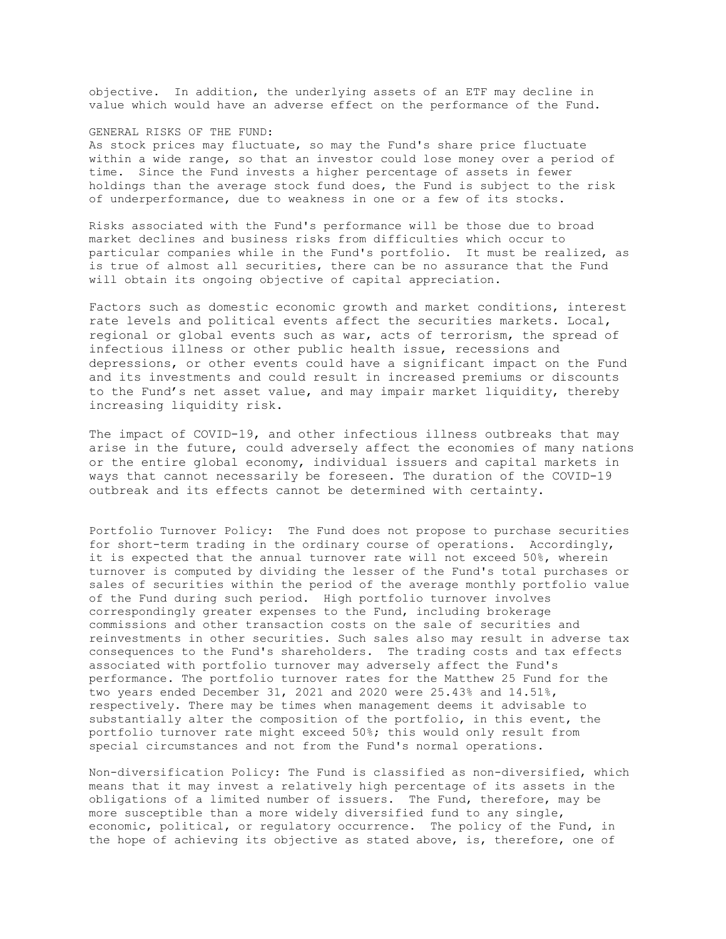objective. In addition, the underlying assets of an ETF may decline in value which would have an adverse effect on the performance of the Fund.

#### GENERAL RISKS OF THE FUND:

As stock prices may fluctuate, so may the Fund's share price fluctuate within a wide range, so that an investor could lose money over a period of time. Since the Fund invests a higher percentage of assets in fewer holdings than the average stock fund does, the Fund is subject to the risk of underperformance, due to weakness in one or a few of its stocks.

Risks associated with the Fund's performance will be those due to broad market declines and business risks from difficulties which occur to particular companies while in the Fund's portfolio. It must be realized, as is true of almost all securities, there can be no assurance that the Fund will obtain its ongoing objective of capital appreciation.

Factors such as domestic economic growth and market conditions, interest rate levels and political events affect the securities markets. Local, regional or global events such as war, acts of terrorism, the spread of infectious illness or other public health issue, recessions and depressions, or other events could have a significant impact on the Fund and its investments and could result in increased premiums or discounts to the Fund's net asset value, and may impair market liquidity, thereby increasing liquidity risk.

The impact of COVID-19, and other infectious illness outbreaks that may arise in the future, could adversely affect the economies of many nations or the entire global economy, individual issuers and capital markets in ways that cannot necessarily be foreseen. The duration of the COVID-19 outbreak and its effects cannot be determined with certainty.

Portfolio Turnover Policy: The Fund does not propose to purchase securities for short-term trading in the ordinary course of operations. Accordingly, it is expected that the annual turnover rate will not exceed 50%, wherein turnover is computed by dividing the lesser of the Fund's total purchases or sales of securities within the period of the average monthly portfolio value of the Fund during such period. High portfolio turnover involves correspondingly greater expenses to the Fund, including brokerage commissions and other transaction costs on the sale of securities and reinvestments in other securities. Such sales also may result in adverse tax consequences to the Fund's shareholders. The trading costs and tax effects associated with portfolio turnover may adversely affect the Fund's performance. The portfolio turnover rates for the Matthew 25 Fund for the two years ended December 31, 2021 and 2020 were 25.43% and 14.51%, respectively. There may be times when management deems it advisable to substantially alter the composition of the portfolio, in this event, the portfolio turnover rate might exceed 50%; this would only result from special circumstances and not from the Fund's normal operations.

Non-diversification Policy: The Fund is classified as non-diversified, which means that it may invest a relatively high percentage of its assets in the obligations of a limited number of issuers. The Fund, therefore, may be more susceptible than a more widely diversified fund to any single, economic, political, or regulatory occurrence. The policy of the Fund, in the hope of achieving its objective as stated above, is, therefore, one of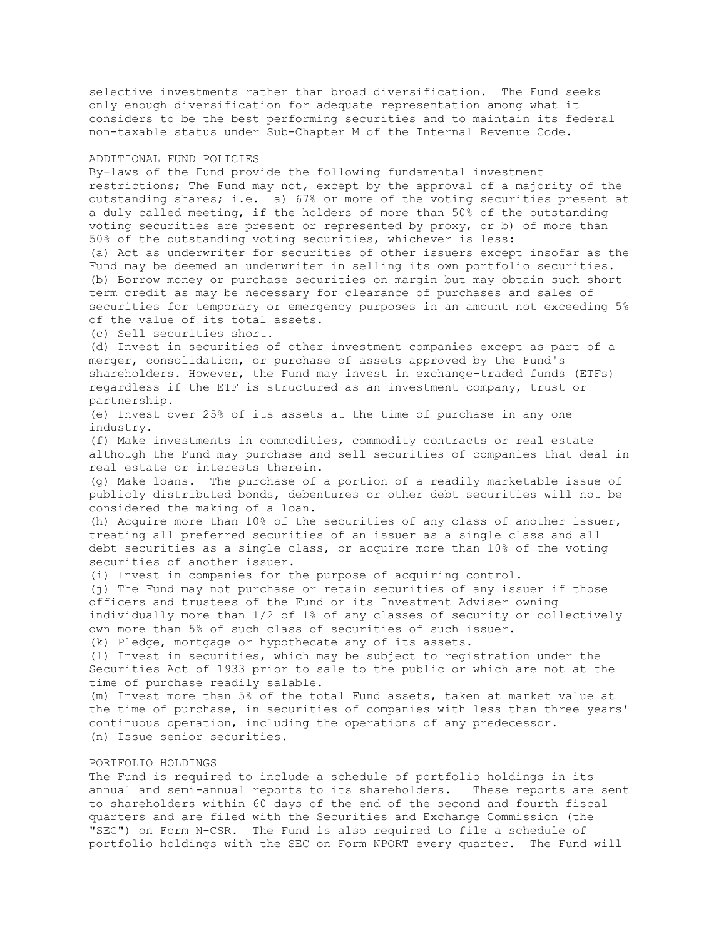selective investments rather than broad diversification. The Fund seeks only enough diversification for adequate representation among what it considers to be the best performing securities and to maintain its federal non-taxable status under Sub-Chapter M of the Internal Revenue Code.

#### ADDITIONAL FUND POLICIES

By-laws of the Fund provide the following fundamental investment restrictions; The Fund may not, except by the approval of a majority of the outstanding shares; i.e. a) 67% or more of the voting securities present at a duly called meeting, if the holders of more than 50% of the outstanding voting securities are present or represented by proxy, or b) of more than 50% of the outstanding voting securities, whichever is less: (a) Act as underwriter for securities of other issuers except insofar as the Fund may be deemed an underwriter in selling its own portfolio securities. (b) Borrow money or purchase securities on margin but may obtain such short term credit as may be necessary for clearance of purchases and sales of securities for temporary or emergency purposes in an amount not exceeding 5% of the value of its total assets.

(c) Sell securities short.

(d) Invest in securities of other investment companies except as part of a merger, consolidation, or purchase of assets approved by the Fund's shareholders. However, the Fund may invest in exchange-traded funds (ETFs) regardless if the ETF is structured as an investment company, trust or partnership.

(e) Invest over 25% of its assets at the time of purchase in any one industry.

(f) Make investments in commodities, commodity contracts or real estate although the Fund may purchase and sell securities of companies that deal in real estate or interests therein.

(g) Make loans. The purchase of a portion of a readily marketable issue of publicly distributed bonds, debentures or other debt securities will not be considered the making of a loan.

(h) Acquire more than 10% of the securities of any class of another issuer, treating all preferred securities of an issuer as a single class and all debt securities as a single class, or acquire more than 10% of the voting securities of another issuer.

(i) Invest in companies for the purpose of acquiring control.

(j) The Fund may not purchase or retain securities of any issuer if those officers and trustees of the Fund or its Investment Adviser owning individually more than 1/2 of 1% of any classes of security or collectively own more than 5% of such class of securities of such issuer. (k) Pledge, mortgage or hypothecate any of its assets.

(l) Invest in securities, which may be subject to registration under the Securities Act of 1933 prior to sale to the public or which are not at the time of purchase readily salable.

(m) Invest more than 5% of the total Fund assets, taken at market value at the time of purchase, in securities of companies with less than three years' continuous operation, including the operations of any predecessor. (n) Issue senior securities.

# PORTFOLIO HOLDINGS

The Fund is required to include a schedule of portfolio holdings in its annual and semi-annual reports to its shareholders. These reports are sent to shareholders within 60 days of the end of the second and fourth fiscal quarters and are filed with the Securities and Exchange Commission (the "SEC") on Form N-CSR. The Fund is also required to file a schedule of portfolio holdings with the SEC on Form NPORT every quarter. The Fund will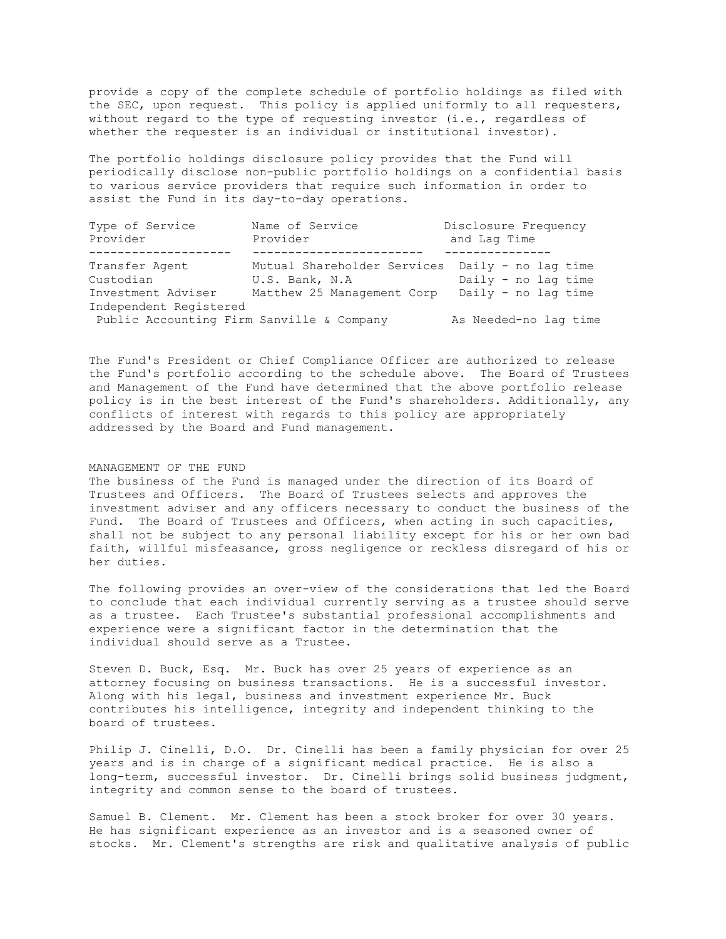provide a copy of the complete schedule of portfolio holdings as filed with the SEC, upon request. This policy is applied uniformly to all requesters, without regard to the type of requesting investor (i.e., regardless of whether the requester is an individual or institutional investor).

The portfolio holdings disclosure policy provides that the Fund will periodically disclose non-public portfolio holdings on a confidential basis to various service providers that require such information in order to assist the Fund in its day-to-day operations.

| Type of Service<br>Provider               | Name of Service<br>Provider | Disclosure Frequency<br>and Lag Time |
|-------------------------------------------|-----------------------------|--------------------------------------|
|                                           |                             |                                      |
| Transfer Agent                            | Mutual Shareholder Services | Daily - no lag time                  |
| Custodian                                 | U.S. Bank, N.A              | Daily - no lag time                  |
| Investment Adviser                        | Matthew 25 Management Corp  | Daily - no lag time                  |
| Independent Registered                    |                             |                                      |
| Public Accounting Firm Sanville & Company |                             | As Needed-no lag time                |

The Fund's President or Chief Compliance Officer are authorized to release the Fund's portfolio according to the schedule above. The Board of Trustees and Management of the Fund have determined that the above portfolio release policy is in the best interest of the Fund's shareholders. Additionally, any conflicts of interest with regards to this policy are appropriately addressed by the Board and Fund management.

#### MANAGEMENT OF THE FUND

The business of the Fund is managed under the direction of its Board of Trustees and Officers. The Board of Trustees selects and approves the investment adviser and any officers necessary to conduct the business of the Fund. The Board of Trustees and Officers, when acting in such capacities, shall not be subject to any personal liability except for his or her own bad faith, willful misfeasance, gross negligence or reckless disregard of his or her duties.

The following provides an over-view of the considerations that led the Board to conclude that each individual currently serving as a trustee should serve as a trustee. Each Trustee's substantial professional accomplishments and experience were a significant factor in the determination that the individual should serve as a Trustee.

Steven D. Buck, Esq. Mr. Buck has over 25 years of experience as an attorney focusing on business transactions. He is a successful investor. Along with his legal, business and investment experience Mr. Buck contributes his intelligence, integrity and independent thinking to the board of trustees.

Philip J. Cinelli, D.O. Dr. Cinelli has been a family physician for over 25 years and is in charge of a significant medical practice. He is also a long-term, successful investor. Dr. Cinelli brings solid business judgment, integrity and common sense to the board of trustees.

Samuel B. Clement. Mr. Clement has been a stock broker for over 30 years. He has significant experience as an investor and is a seasoned owner of stocks. Mr. Clement's strengths are risk and qualitative analysis of public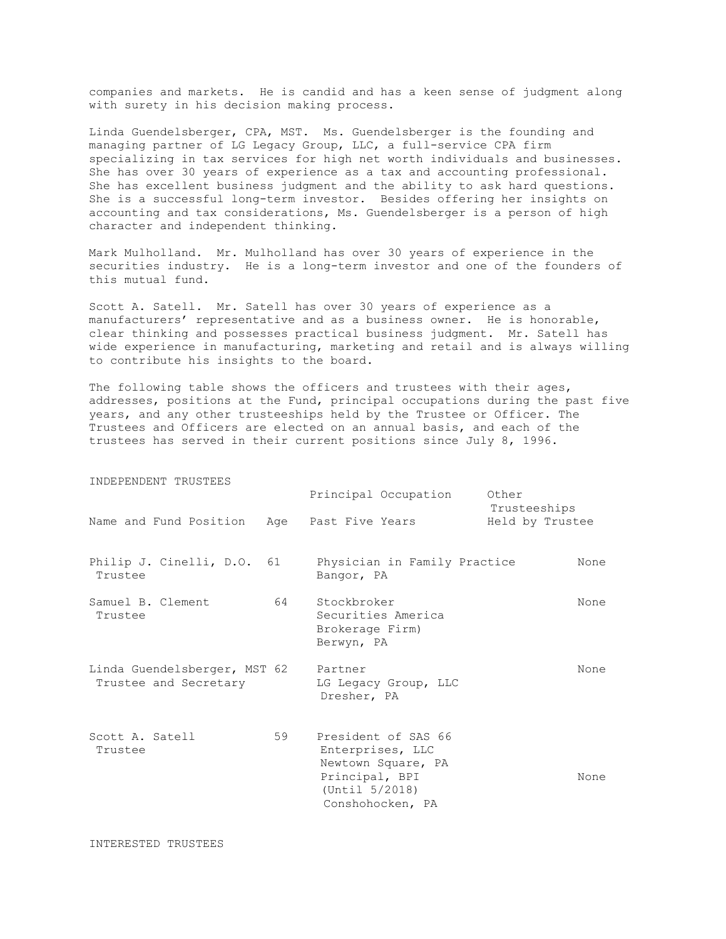companies and markets. He is candid and has a keen sense of judgment along with surety in his decision making process.

Linda Guendelsberger, CPA, MST. Ms. Guendelsberger is the founding and managing partner of LG Legacy Group, LLC, a full-service CPA firm specializing in tax services for high net worth individuals and businesses. She has over 30 years of experience as a tax and accounting professional. She has excellent business judgment and the ability to ask hard questions. She is a successful long-term investor. Besides offering her insights on accounting and tax considerations, Ms. Guendelsberger is a person of high character and independent thinking.

Mark Mulholland. Mr. Mulholland has over 30 years of experience in the securities industry. He is a long-term investor and one of the founders of this mutual fund.

Scott A. Satell. Mr. Satell has over 30 years of experience as a manufacturers' representative and as a business owner. He is honorable, clear thinking and possesses practical business judgment. Mr. Satell has wide experience in manufacturing, marketing and retail and is always willing to contribute his insights to the board.

The following table shows the officers and trustees with their ages, addresses, positions at the Fund, principal occupations during the past five years, and any other trusteeships held by the Trustee or Officer. The Trustees and Officers are elected on an annual basis, and each of the trustees has served in their current positions since July 8, 1996.

| INDEPENDENT TRUSTEES                                  |    |                                                                                                                       |                                 |  |
|-------------------------------------------------------|----|-----------------------------------------------------------------------------------------------------------------------|---------------------------------|--|
|                                                       |    | Principal Occupation                                                                                                  | Other                           |  |
| Name and Fund Position Age Past Five Years            |    |                                                                                                                       | Trusteeships<br>Held by Trustee |  |
| Philip J. Cinelli, D.O. 61<br>Trustee                 |    | Physician in Family Practice<br>Bangor, PA                                                                            | None                            |  |
| Samuel B. Clement<br>Trustee                          |    | 64 Stockbroker<br>Securities America<br>Brokerage Firm)<br>Berwyn, PA                                                 | None                            |  |
| Linda Guendelsberger, MST 62<br>Trustee and Secretary |    | Partner<br>LG Legacy Group, LLC<br>Dresher, PA                                                                        | None                            |  |
| Scott A. Satell<br>Trustee                            | 59 | President of SAS 66<br>Enterprises, LLC<br>Newtown Square, PA<br>Principal, BPI<br>(Until 5/2018)<br>Conshohocken, PA | None                            |  |

INTERESTED TRUSTEES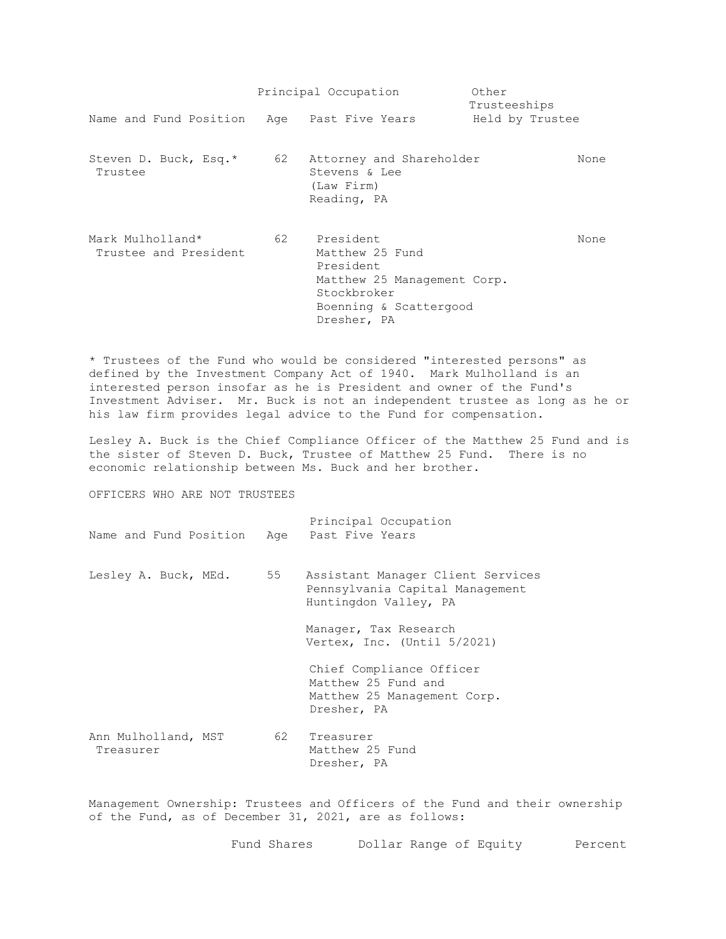|                                            |      | Principal Occupation                                                                                                                | Other<br>Trusteeships |      |
|--------------------------------------------|------|-------------------------------------------------------------------------------------------------------------------------------------|-----------------------|------|
| Name and Fund Position Age Past Five Years |      |                                                                                                                                     | Held by Trustee       |      |
| Steven D. Buck, Esq.*<br>Trustee           | 62 — | Attorney and Shareholder<br>Stevens & Lee<br>(Law Firm)<br>Reading, PA                                                              |                       | None |
| Mark Mulholland*<br>Trustee and President  |      | 62 President<br>Matthew 25 Fund<br>President<br>Matthew 25 Management Corp.<br>Stockbroker<br>Boenning & Scattergood<br>Dresher, PA |                       | None |

\* Trustees of the Fund who would be considered "interested persons" as defined by the Investment Company Act of 1940. Mark Mulholland is an interested person insofar as he is President and owner of the Fund's Investment Adviser. Mr. Buck is not an independent trustee as long as he or his law firm provides legal advice to the Fund for compensation.

Lesley A. Buck is the Chief Compliance Officer of the Matthew 25 Fund and is the sister of Steven D. Buck, Trustee of Matthew 25 Fund. There is no economic relationship between Ms. Buck and her brother.

OFFICERS WHO ARE NOT TRUSTEES

| Name and Fund Position Age Past Five Years |    | Principal Occupation                                                                          |
|--------------------------------------------|----|-----------------------------------------------------------------------------------------------|
| Lesley A. Buck, MEd.                       | 55 | Assistant Manager Client Services<br>Pennsylvania Capital Management<br>Huntingdon Valley, PA |
|                                            |    | Manager, Tax Research<br>Vertex, Inc. (Until 5/2021)                                          |
|                                            |    | Chief Compliance Officer<br>Matthew 25 Fund and<br>Matthew 25 Management Corp.<br>Dresher, PA |
| Ann Mulholland, MST<br>Treasurer           | 62 | Treasurer<br>Matthew 25 Fund<br>Dresher, PA                                                   |

Management Ownership: Trustees and Officers of the Fund and their ownership of the Fund, as of December 31, 2021, are as follows:

Fund Shares Dollar Range of Equity Percent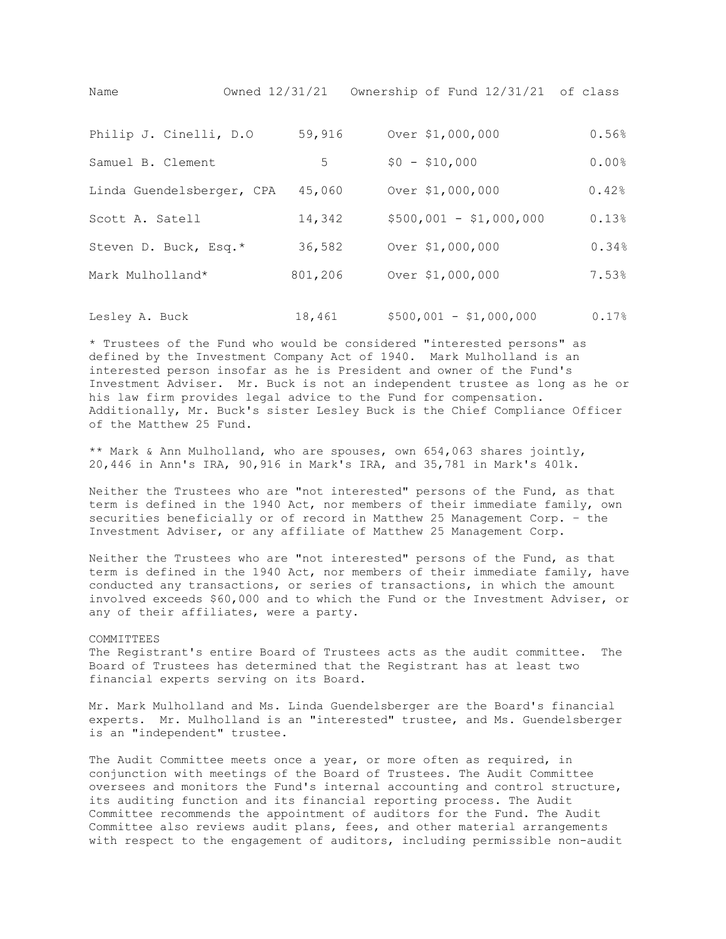Name Owned 12/31/21 Ownership of Fund 12/31/21 of class

| Philip J. Cinelli, D.O    | 59,916  | Over \$1,000,000        | 0.56% |
|---------------------------|---------|-------------------------|-------|
| Samuel B. Clement         | 5       | $$0 - $10,000$          | 0.00% |
| Linda Guendelsberger, CPA | 45,060  | Over \$1,000,000        | 0.42% |
| Scott A. Satell           | 14,342  | $$500,001 - $1,000,000$ | 0.13% |
| Steven D. Buck, Esq.*     | 36,582  | Over \$1,000,000        | 0.34% |
| Mark Mulholland*          | 801,206 | Over \$1,000,000        | 7.53% |
|                           |         |                         |       |

Lesley A. Buck 18,461 \$500,001 - \$1,000,000 0.17%

\* Trustees of the Fund who would be considered "interested persons" as defined by the Investment Company Act of 1940. Mark Mulholland is an interested person insofar as he is President and owner of the Fund's Investment Adviser. Mr. Buck is not an independent trustee as long as he or his law firm provides legal advice to the Fund for compensation. Additionally, Mr. Buck's sister Lesley Buck is the Chief Compliance Officer of the Matthew 25 Fund.

\*\* Mark & Ann Mulholland, who are spouses, own 654,063 shares jointly, 20,446 in Ann's IRA, 90,916 in Mark's IRA, and 35,781 in Mark's 401k.

Neither the Trustees who are "not interested" persons of the Fund, as that term is defined in the 1940 Act, nor members of their immediate family, own securities beneficially or of record in Matthew 25 Management Corp. – the Investment Adviser, or any affiliate of Matthew 25 Management Corp.

Neither the Trustees who are "not interested" persons of the Fund, as that term is defined in the 1940 Act, nor members of their immediate family, have conducted any transactions, or series of transactions, in which the amount involved exceeds \$60,000 and to which the Fund or the Investment Adviser, or any of their affiliates, were a party.

# COMMITTEES

The Registrant's entire Board of Trustees acts as the audit committee. The Board of Trustees has determined that the Registrant has at least two financial experts serving on its Board.

Mr. Mark Mulholland and Ms. Linda Guendelsberger are the Board's financial experts. Mr. Mulholland is an "interested" trustee, and Ms. Guendelsberger is an "independent" trustee.

The Audit Committee meets once a year, or more often as required, in conjunction with meetings of the Board of Trustees. The Audit Committee oversees and monitors the Fund's internal accounting and control structure, its auditing function and its financial reporting process. The Audit Committee recommends the appointment of auditors for the Fund. The Audit Committee also reviews audit plans, fees, and other material arrangements with respect to the engagement of auditors, including permissible non-audit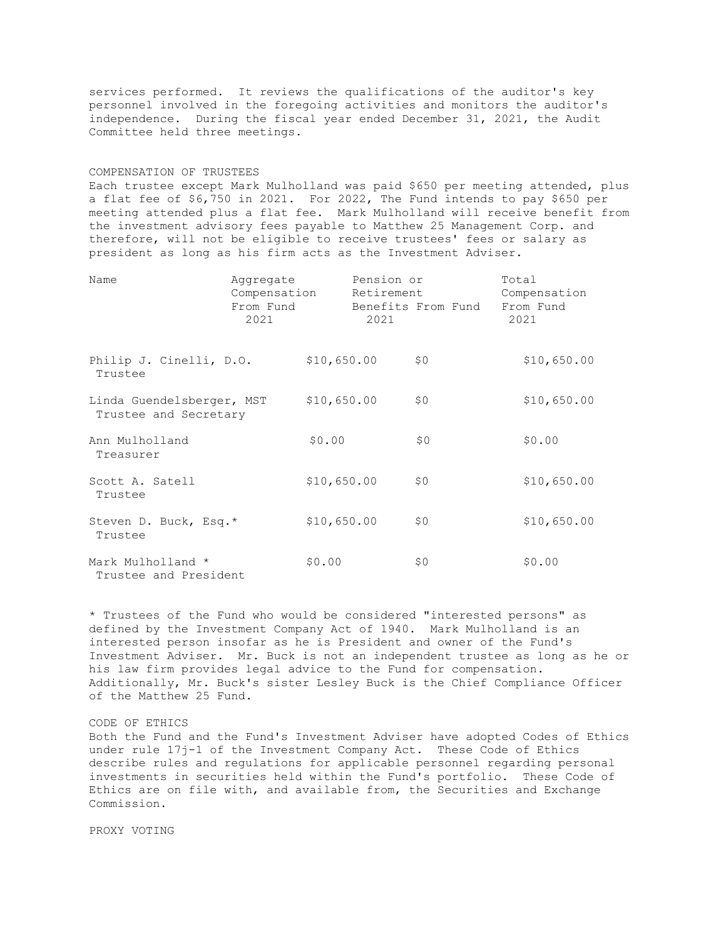services performed. It reviews the qualifications of the auditor's key personnel involved in the foregoing activities and monitors the auditor's independence. During the fiscal year ended December 31, 2021, the Audit Committee held three meetings.

#### COMPENSATION OF TRUSTEES

Each trustee except Mark Mulholland was paid \$650 per meeting attended, plus a flat fee of \$6,750 in 2021. For 2022, The Fund intends to pay \$650 per meeting attended plus a flat fee. Mark Mulholland will receive benefit from the investment advisory fees payable to Matthew 25 Management Corp. and therefore, will not be eligible to receive trustees' fees or salary as president as long as his firm acts as the Investment Adviser.

| Name                                               | Aggregate<br>Compensation<br>From Fund<br>2021 |             | Pension or<br>Retirement<br>2021 | Benefits From Fund | Total<br>Compensation<br>From Fund<br>2021 |
|----------------------------------------------------|------------------------------------------------|-------------|----------------------------------|--------------------|--------------------------------------------|
| Philip J. Cinelli, D.O.<br>Trustee                 |                                                | \$10,650.00 |                                  | \$0                | \$10,650.00                                |
| Linda Guendelsberger, MST<br>Trustee and Secretary |                                                | \$10,650.00 |                                  | \$0                | \$10,650.00                                |
| Ann Mulholland<br>Treasurer                        |                                                | \$0.00      |                                  | \$0                | \$0.00                                     |
| Scott A. Satell<br>Trustee                         |                                                | \$10,650.00 |                                  | \$0                | \$10,650.00                                |
| Steven D. Buck, Esq.*<br>Trustee                   |                                                | \$10,650.00 |                                  | \$0                | \$10,650.00                                |
| Mark Mulholland *<br>Trustee and President         |                                                | \$0.00      |                                  | \$0                | \$0.00                                     |

\* Trustees of the Fund who would be considered "interested persons" as defined by the Investment Company Act of 1940. Mark Mulholland is an interested person insofar as he is President and owner of the Fund's Investment Adviser. Mr. Buck is not an independent trustee as long as he or his law firm provides legal advice to the Fund for compensation. Additionally, Mr. Buck's sister Lesley Buck is the Chief Compliance Officer of the Matthew 25 Fund.

## CODE OF ETHICS

Both the Fund and the Fund's Investment Adviser have adopted Codes of Ethics under rule 17j-1 of the Investment Company Act. These Code of Ethics describe rules and regulations for applicable personnel regarding personal investments in securities held within the Fund's portfolio. These Code of Ethics are on file with, and available from, the Securities and Exchange Commission.

PROXY VOTING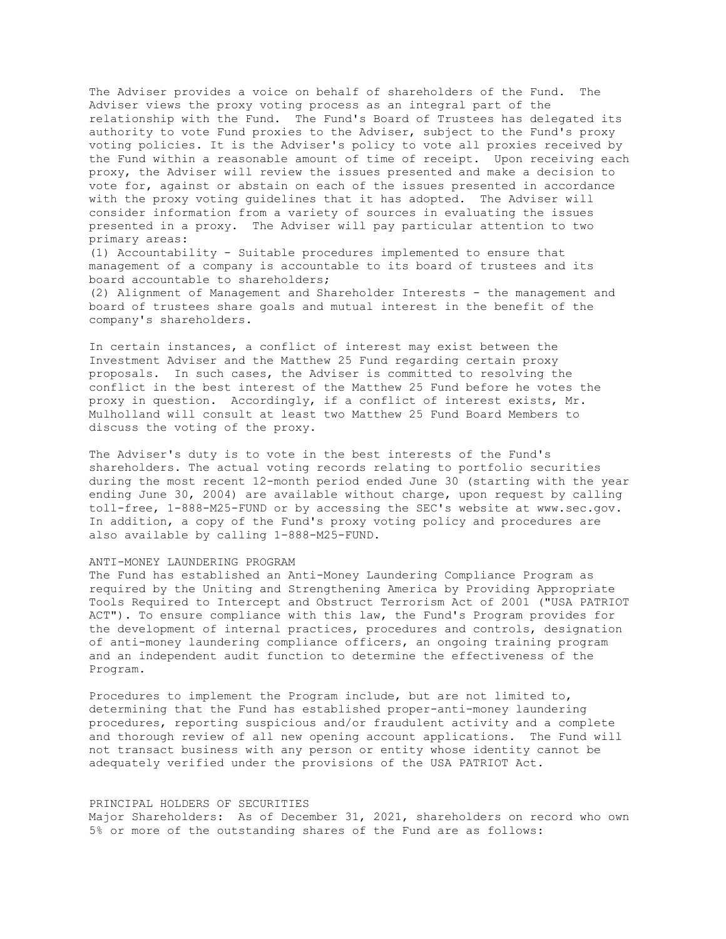The Adviser provides a voice on behalf of shareholders of the Fund. The Adviser views the proxy voting process as an integral part of the relationship with the Fund. The Fund's Board of Trustees has delegated its authority to vote Fund proxies to the Adviser, subject to the Fund's proxy voting policies. It is the Adviser's policy to vote all proxies received by the Fund within a reasonable amount of time of receipt. Upon receiving each proxy, the Adviser will review the issues presented and make a decision to vote for, against or abstain on each of the issues presented in accordance with the proxy voting guidelines that it has adopted. The Adviser will consider information from a variety of sources in evaluating the issues presented in a proxy. The Adviser will pay particular attention to two primary areas:

(1) Accountability - Suitable procedures implemented to ensure that management of a company is accountable to its board of trustees and its board accountable to shareholders;

(2) Alignment of Management and Shareholder Interests - the management and board of trustees share goals and mutual interest in the benefit of the company's shareholders.

In certain instances, a conflict of interest may exist between the Investment Adviser and the Matthew 25 Fund regarding certain proxy proposals. In such cases, the Adviser is committed to resolving the conflict in the best interest of the Matthew 25 Fund before he votes the proxy in question. Accordingly, if a conflict of interest exists, Mr. Mulholland will consult at least two Matthew 25 Fund Board Members to discuss the voting of the proxy.

The Adviser's duty is to vote in the best interests of the Fund's shareholders. The actual voting records relating to portfolio securities during the most recent 12-month period ended June 30 (starting with the year ending June 30, 2004) are available without charge, upon request by calling toll-free, 1-888-M25-FUND or by accessing the SEC's website at www.sec.gov. In addition, a copy of the Fund's proxy voting policy and procedures are also available by calling 1-888-M25-FUND.

# ANTI-MONEY LAUNDERING PROGRAM

The Fund has established an Anti-Money Laundering Compliance Program as required by the Uniting and Strengthening America by Providing Appropriate Tools Required to Intercept and Obstruct Terrorism Act of 2001 ("USA PATRIOT ACT"). To ensure compliance with this law, the Fund's Program provides for the development of internal practices, procedures and controls, designation of anti-money laundering compliance officers, an ongoing training program and an independent audit function to determine the effectiveness of the Program.

Procedures to implement the Program include, but are not limited to, determining that the Fund has established proper-anti-money laundering procedures, reporting suspicious and/or fraudulent activity and a complete and thorough review of all new opening account applications. The Fund will not transact business with any person or entity whose identity cannot be adequately verified under the provisions of the USA PATRIOT Act.

#### PRINCIPAL HOLDERS OF SECURITIES

Major Shareholders: As of December 31, 2021, shareholders on record who own 5% or more of the outstanding shares of the Fund are as follows: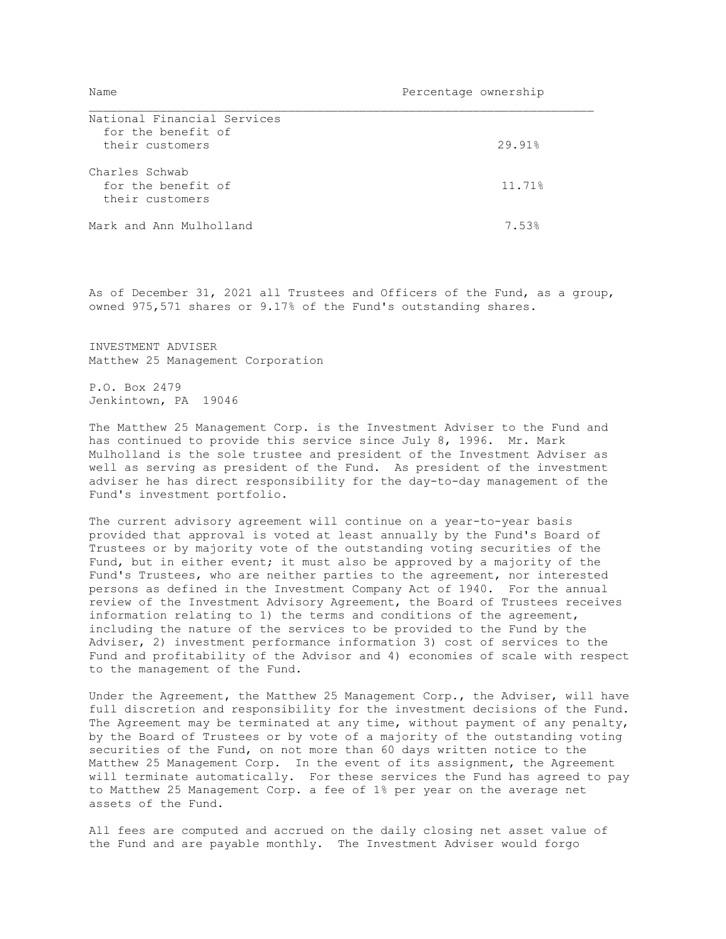| National Financial Services |        |
|-----------------------------|--------|
| for the benefit of          |        |
| their customers             | 29.91% |
|                             |        |
| Charles Schwab              |        |
| for the benefit of          | 11.71% |
| their customers             |        |
|                             |        |
| Mark and Ann Mulholland     | 7.53%  |

As of December 31, 2021 all Trustees and Officers of the Fund, as a group, owned 975,571 shares or 9.17% of the Fund's outstanding shares.

INVESTMENT ADVISER Matthew 25 Management Corporation

P.O. Box 2479 Jenkintown, PA 19046

The Matthew 25 Management Corp. is the Investment Adviser to the Fund and has continued to provide this service since July 8, 1996. Mr. Mark Mulholland is the sole trustee and president of the Investment Adviser as well as serving as president of the Fund. As president of the investment adviser he has direct responsibility for the day-to-day management of the Fund's investment portfolio.

The current advisory agreement will continue on a year-to-year basis provided that approval is voted at least annually by the Fund's Board of Trustees or by majority vote of the outstanding voting securities of the Fund, but in either event; it must also be approved by a majority of the Fund's Trustees, who are neither parties to the agreement, nor interested persons as defined in the Investment Company Act of 1940. For the annual review of the Investment Advisory Agreement, the Board of Trustees receives information relating to 1) the terms and conditions of the agreement, including the nature of the services to be provided to the Fund by the Adviser, 2) investment performance information 3) cost of services to the Fund and profitability of the Advisor and 4) economies of scale with respect to the management of the Fund.

Under the Agreement, the Matthew 25 Management Corp., the Adviser, will have full discretion and responsibility for the investment decisions of the Fund. The Agreement may be terminated at any time, without payment of any penalty, by the Board of Trustees or by vote of a majority of the outstanding voting securities of the Fund, on not more than 60 days written notice to the Matthew 25 Management Corp. In the event of its assignment, the Agreement will terminate automatically. For these services the Fund has agreed to pay to Matthew 25 Management Corp. a fee of 1% per year on the average net assets of the Fund.

All fees are computed and accrued on the daily closing net asset value of the Fund and are payable monthly. The Investment Adviser would forgo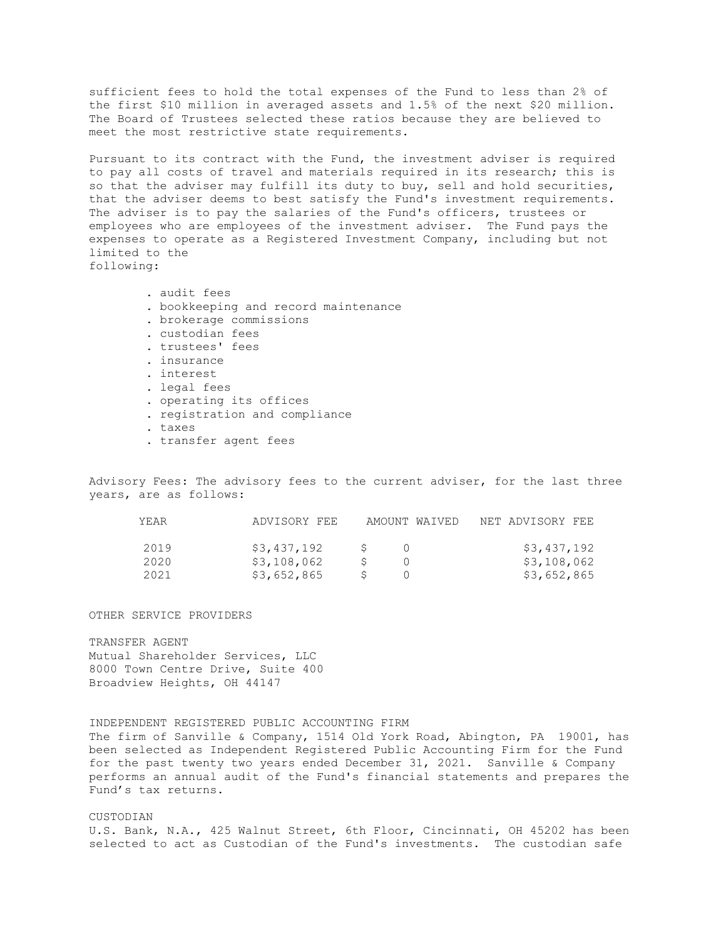sufficient fees to hold the total expenses of the Fund to less than 2% of the first \$10 million in averaged assets and 1.5% of the next \$20 million. The Board of Trustees selected these ratios because they are believed to meet the most restrictive state requirements.

Pursuant to its contract with the Fund, the investment adviser is required to pay all costs of travel and materials required in its research; this is so that the adviser may fulfill its duty to buy, sell and hold securities, that the adviser deems to best satisfy the Fund's investment requirements. The adviser is to pay the salaries of the Fund's officers, trustees or employees who are employees of the investment adviser. The Fund pays the expenses to operate as a Registered Investment Company, including but not limited to the following:

- . audit fees . bookkeeping and record maintenance . brokerage commissions . custodian fees . trustees' fees . insurance . interest . legal fees . operating its offices . registration and compliance . taxes
- . transfer agent fees

Advisory Fees: The advisory fees to the current adviser, for the last three years, are as follows:

| YEAR | ADVISORY FEE | AMOUNT WAIVED | NET ADVISORY FEE |
|------|--------------|---------------|------------------|
| 2019 | \$3,437,192  |               | \$3,437,192      |
| 2020 | \$3,108,062  |               | \$3,108,062      |
| 2021 | \$3,652,865  |               | \$3,652,865      |

OTHER SERVICE PROVIDERS

TRANSFER AGENT Mutual Shareholder Services, LLC 8000 Town Centre Drive, Suite 400 Broadview Heights, OH 44147

INDEPENDENT REGISTERED PUBLIC ACCOUNTING FIRM The firm of Sanville & Company, 1514 Old York Road, Abington, PA 19001, has been selected as Independent Registered Public Accounting Firm for the Fund for the past twenty two years ended December 31, 2021. Sanville & Company performs an annual audit of the Fund's financial statements and prepares the Fund's tax returns.

### CUSTODIAN

U.S. Bank, N.A., 425 Walnut Street, 6th Floor, Cincinnati, OH 45202 has been selected to act as Custodian of the Fund's investments. The custodian safe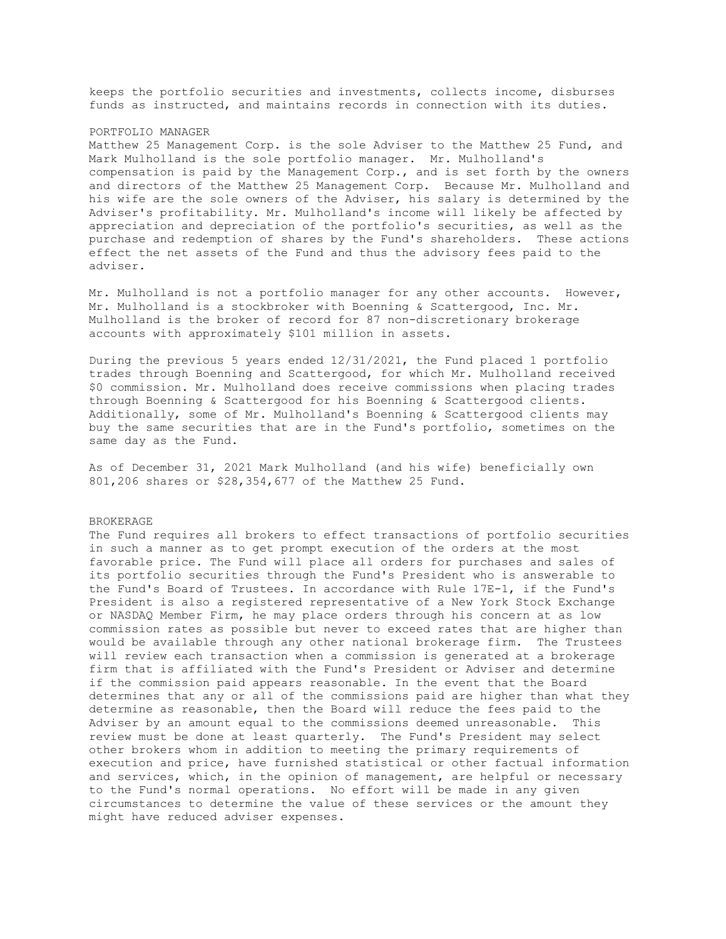keeps the portfolio securities and investments, collects income, disburses funds as instructed, and maintains records in connection with its duties.

#### PORTFOLIO MANAGER

Matthew 25 Management Corp. is the sole Adviser to the Matthew 25 Fund, and Mark Mulholland is the sole portfolio manager. Mr. Mulholland's compensation is paid by the Management Corp., and is set forth by the owners and directors of the Matthew 25 Management Corp. Because Mr. Mulholland and his wife are the sole owners of the Adviser, his salary is determined by the Adviser's profitability. Mr. Mulholland's income will likely be affected by appreciation and depreciation of the portfolio's securities, as well as the purchase and redemption of shares by the Fund's shareholders. These actions effect the net assets of the Fund and thus the advisory fees paid to the adviser.

Mr. Mulholland is not a portfolio manager for any other accounts. However, Mr. Mulholland is a stockbroker with Boenning & Scattergood, Inc. Mr. Mulholland is the broker of record for 87 non-discretionary brokerage accounts with approximately \$101 million in assets.

During the previous 5 years ended 12/31/2021, the Fund placed 1 portfolio trades through Boenning and Scattergood, for which Mr. Mulholland received \$0 commission. Mr. Mulholland does receive commissions when placing trades through Boenning & Scattergood for his Boenning & Scattergood clients. Additionally, some of Mr. Mulholland's Boenning & Scattergood clients may buy the same securities that are in the Fund's portfolio, sometimes on the same day as the Fund.

As of December 31, 2021 Mark Mulholland (and his wife) beneficially own 801,206 shares or \$28,354,677 of the Matthew 25 Fund.

## BROKERAGE

The Fund requires all brokers to effect transactions of portfolio securities in such a manner as to get prompt execution of the orders at the most favorable price. The Fund will place all orders for purchases and sales of its portfolio securities through the Fund's President who is answerable to the Fund's Board of Trustees. In accordance with Rule 17E-1, if the Fund's President is also a registered representative of a New York Stock Exchange or NASDAQ Member Firm, he may place orders through his concern at as low commission rates as possible but never to exceed rates that are higher than would be available through any other national brokerage firm. The Trustees will review each transaction when a commission is generated at a brokerage firm that is affiliated with the Fund's President or Adviser and determine if the commission paid appears reasonable. In the event that the Board determines that any or all of the commissions paid are higher than what they determine as reasonable, then the Board will reduce the fees paid to the Adviser by an amount equal to the commissions deemed unreasonable. This review must be done at least quarterly. The Fund's President may select other brokers whom in addition to meeting the primary requirements of execution and price, have furnished statistical or other factual information and services, which, in the opinion of management, are helpful or necessary to the Fund's normal operations. No effort will be made in any given circumstances to determine the value of these services or the amount they might have reduced adviser expenses.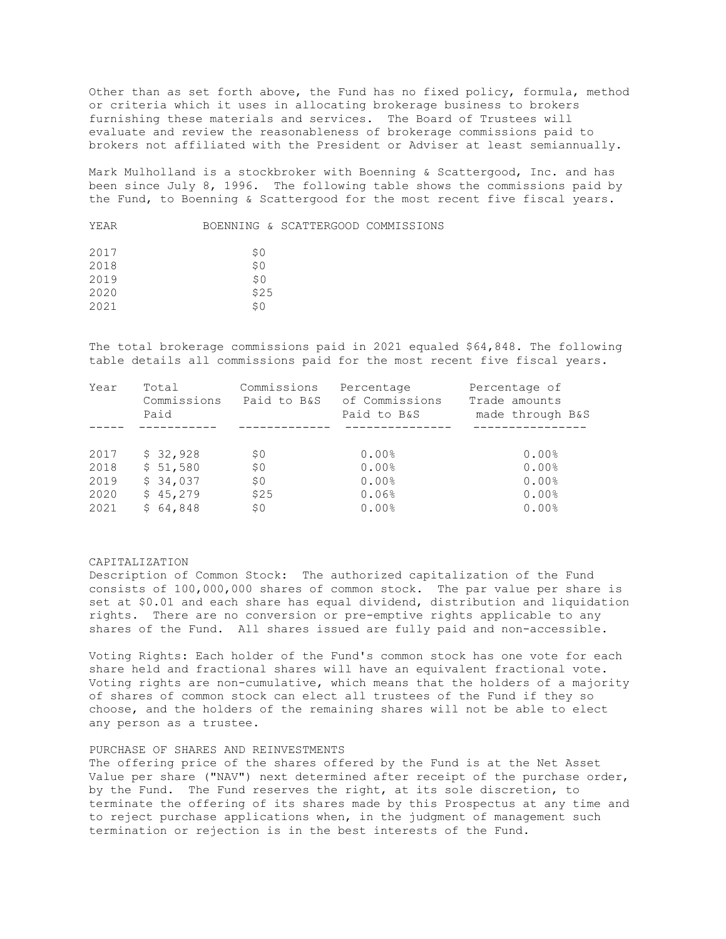Other than as set forth above, the Fund has no fixed policy, formula, method or criteria which it uses in allocating brokerage business to brokers furnishing these materials and services. The Board of Trustees will evaluate and review the reasonableness of brokerage commissions paid to brokers not affiliated with the President or Adviser at least semiannually.

Mark Mulholland is a stockbroker with Boenning & Scattergood, Inc. and has been since July 8, 1996. The following table shows the commissions paid by the Fund, to Boenning & Scattergood for the most recent five fiscal years.

| YEAR |      | BOENNING & SCATTERGOOD COMMISSIONS |  |
|------|------|------------------------------------|--|
| 2017 | S O  |                                    |  |
| 2018 | \$0  |                                    |  |
| 2019 | SO.  |                                    |  |
| 2020 | \$25 |                                    |  |
| 2021 | \$O  |                                    |  |
|      |      |                                    |  |

The total brokerage commissions paid in 2021 equaled \$64,848. The following table details all commissions paid for the most recent five fiscal years.

| Year | Total       | Commissions | Percentage     | Percentage of    |
|------|-------------|-------------|----------------|------------------|
|      | Commissions | Paid to B&S | of Commissions | Trade amounts    |
|      | Paid        |             | Paid to B&S    | made through B&S |
|      |             |             |                |                  |
| 2017 | \$32,928    | \$0         | 0.00%          | 0.00%            |
| 2018 | \$51,580    | \$0         | 0.00%          | 0.00%            |
| 2019 | \$34,037    | \$0         | 0.00%          | 0.00%            |
| 2020 | \$45,279    | \$25        | 0.06%          | 0.00%            |
| 2021 | \$64,848    | \$0         | 0.00%          | 0.00%            |

# CAPITALIZATION

Description of Common Stock: The authorized capitalization of the Fund consists of 100,000,000 shares of common stock. The par value per share is set at \$0.01 and each share has equal dividend, distribution and liquidation rights. There are no conversion or pre-emptive rights applicable to any shares of the Fund. All shares issued are fully paid and non-accessible.

Voting Rights: Each holder of the Fund's common stock has one vote for each share held and fractional shares will have an equivalent fractional vote. Voting rights are non-cumulative, which means that the holders of a majority of shares of common stock can elect all trustees of the Fund if they so choose, and the holders of the remaining shares will not be able to elect any person as a trustee.

# PURCHASE OF SHARES AND REINVESTMENTS

The offering price of the shares offered by the Fund is at the Net Asset Value per share ("NAV") next determined after receipt of the purchase order, by the Fund. The Fund reserves the right, at its sole discretion, to terminate the offering of its shares made by this Prospectus at any time and to reject purchase applications when, in the judgment of management such termination or rejection is in the best interests of the Fund.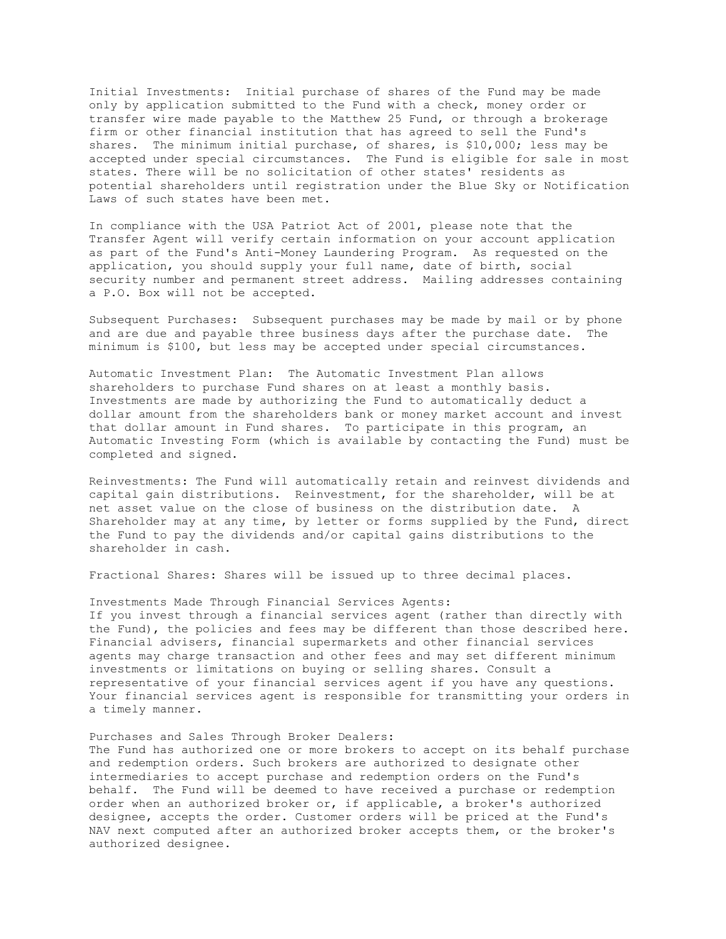Initial Investments: Initial purchase of shares of the Fund may be made only by application submitted to the Fund with a check, money order or transfer wire made payable to the Matthew 25 Fund, or through a brokerage firm or other financial institution that has agreed to sell the Fund's shares. The minimum initial purchase, of shares, is \$10,000; less may be accepted under special circumstances. The Fund is eligible for sale in most states. There will be no solicitation of other states' residents as potential shareholders until registration under the Blue Sky or Notification Laws of such states have been met.

In compliance with the USA Patriot Act of 2001, please note that the Transfer Agent will verify certain information on your account application as part of the Fund's Anti-Money Laundering Program. As requested on the application, you should supply your full name, date of birth, social security number and permanent street address. Mailing addresses containing a P.O. Box will not be accepted.

Subsequent Purchases: Subsequent purchases may be made by mail or by phone and are due and payable three business days after the purchase date. The minimum is \$100, but less may be accepted under special circumstances.

Automatic Investment Plan: The Automatic Investment Plan allows shareholders to purchase Fund shares on at least a monthly basis. Investments are made by authorizing the Fund to automatically deduct a dollar amount from the shareholders bank or money market account and invest that dollar amount in Fund shares. To participate in this program, an Automatic Investing Form (which is available by contacting the Fund) must be completed and signed.

Reinvestments: The Fund will automatically retain and reinvest dividends and capital gain distributions. Reinvestment, for the shareholder, will be at net asset value on the close of business on the distribution date. A Shareholder may at any time, by letter or forms supplied by the Fund, direct the Fund to pay the dividends and/or capital gains distributions to the shareholder in cash.

Fractional Shares: Shares will be issued up to three decimal places.

### Investments Made Through Financial Services Agents:

If you invest through a financial services agent (rather than directly with the Fund), the policies and fees may be different than those described here. Financial advisers, financial supermarkets and other financial services agents may charge transaction and other fees and may set different minimum investments or limitations on buying or selling shares. Consult a representative of your financial services agent if you have any questions. Your financial services agent is responsible for transmitting your orders in a timely manner.

# Purchases and Sales Through Broker Dealers:

The Fund has authorized one or more brokers to accept on its behalf purchase and redemption orders. Such brokers are authorized to designate other intermediaries to accept purchase and redemption orders on the Fund's behalf. The Fund will be deemed to have received a purchase or redemption order when an authorized broker or, if applicable, a broker's authorized designee, accepts the order. Customer orders will be priced at the Fund's NAV next computed after an authorized broker accepts them, or the broker's authorized designee.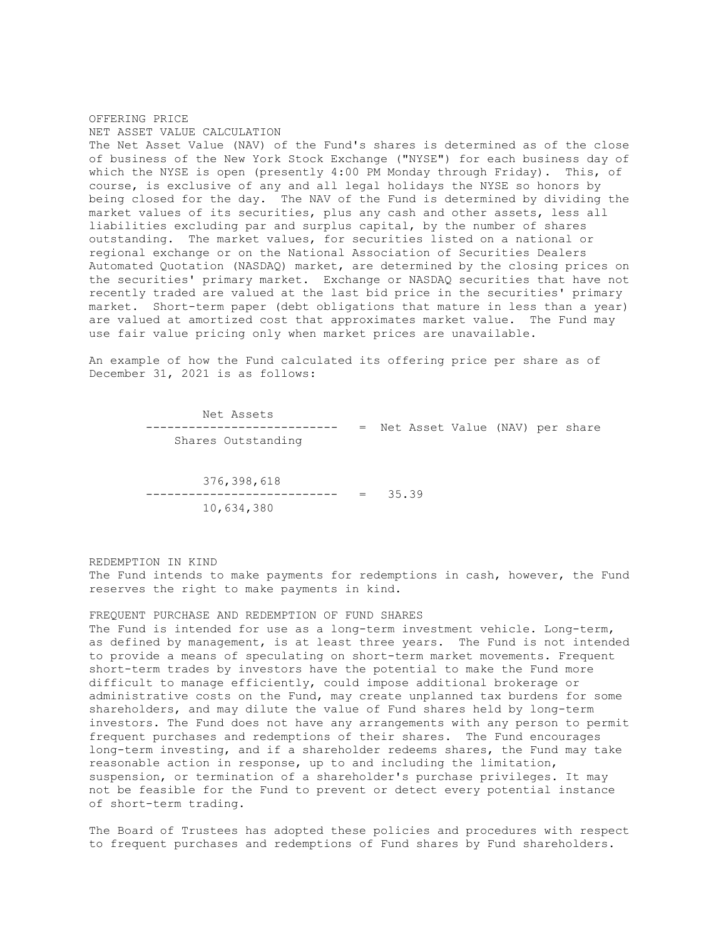# OFFERING PRICE NET ASSET VALUE CALCULATION

The Net Asset Value (NAV) of the Fund's shares is determined as of the close of business of the New York Stock Exchange ("NYSE") for each business day of which the NYSE is open (presently 4:00 PM Monday through Friday). This, of course, is exclusive of any and all legal holidays the NYSE so honors by being closed for the day. The NAV of the Fund is determined by dividing the market values of its securities, plus any cash and other assets, less all liabilities excluding par and surplus capital, by the number of shares outstanding. The market values, for securities listed on a national or regional exchange or on the National Association of Securities Dealers Automated Quotation (NASDAQ) market, are determined by the closing prices on the securities' primary market. Exchange or NASDAQ securities that have not recently traded are valued at the last bid price in the securities' primary market. Short-term paper (debt obligations that mature in less than a year) are valued at amortized cost that approximates market value. The Fund may use fair value pricing only when market prices are unavailable.

An example of how the Fund calculated its offering price per share as of December 31, 2021 is as follows:

> Net Assets --------------------------- = Net Asset Value (NAV) per share Shares Outstanding

 376,398,618 --------------------------- = 35.39 10,634,380

REDEMPTION IN KIND

The Fund intends to make payments for redemptions in cash, however, the Fund reserves the right to make payments in kind.

### FREQUENT PURCHASE AND REDEMPTION OF FUND SHARES

The Fund is intended for use as a long-term investment vehicle. Long-term, as defined by management, is at least three years. The Fund is not intended to provide a means of speculating on short-term market movements. Frequent short-term trades by investors have the potential to make the Fund more difficult to manage efficiently, could impose additional brokerage or administrative costs on the Fund, may create unplanned tax burdens for some shareholders, and may dilute the value of Fund shares held by long-term investors. The Fund does not have any arrangements with any person to permit frequent purchases and redemptions of their shares. The Fund encourages long-term investing, and if a shareholder redeems shares, the Fund may take reasonable action in response, up to and including the limitation, suspension, or termination of a shareholder's purchase privileges. It may not be feasible for the Fund to prevent or detect every potential instance of short-term trading.

The Board of Trustees has adopted these policies and procedures with respect to frequent purchases and redemptions of Fund shares by Fund shareholders.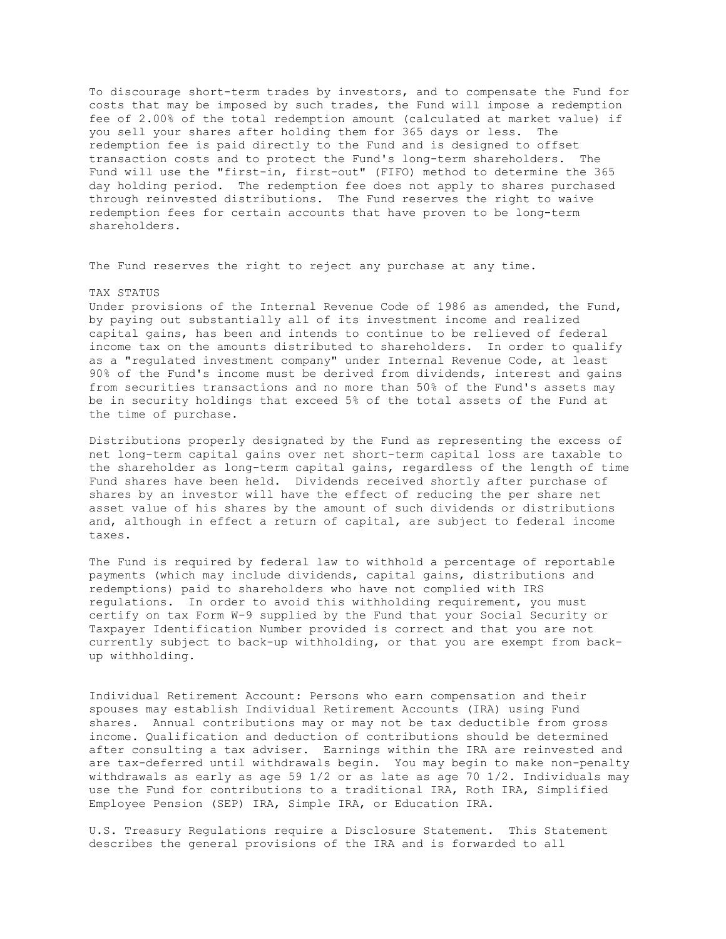To discourage short-term trades by investors, and to compensate the Fund for costs that may be imposed by such trades, the Fund will impose a redemption fee of 2.00% of the total redemption amount (calculated at market value) if you sell your shares after holding them for 365 days or less. The redemption fee is paid directly to the Fund and is designed to offset transaction costs and to protect the Fund's long-term shareholders. The Fund will use the "first-in, first-out" (FIFO) method to determine the 365 day holding period. The redemption fee does not apply to shares purchased through reinvested distributions. The Fund reserves the right to waive redemption fees for certain accounts that have proven to be long-term shareholders.

The Fund reserves the right to reject any purchase at any time.

#### TAX STATUS

Under provisions of the Internal Revenue Code of 1986 as amended, the Fund, by paying out substantially all of its investment income and realized capital gains, has been and intends to continue to be relieved of federal income tax on the amounts distributed to shareholders. In order to qualify as a "regulated investment company" under Internal Revenue Code, at least 90% of the Fund's income must be derived from dividends, interest and gains from securities transactions and no more than 50% of the Fund's assets may be in security holdings that exceed 5% of the total assets of the Fund at the time of purchase.

Distributions properly designated by the Fund as representing the excess of net long-term capital gains over net short-term capital loss are taxable to the shareholder as long-term capital gains, regardless of the length of time Fund shares have been held. Dividends received shortly after purchase of shares by an investor will have the effect of reducing the per share net asset value of his shares by the amount of such dividends or distributions and, although in effect a return of capital, are subject to federal income taxes.

The Fund is required by federal law to withhold a percentage of reportable payments (which may include dividends, capital gains, distributions and redemptions) paid to shareholders who have not complied with IRS regulations. In order to avoid this withholding requirement, you must certify on tax Form W-9 supplied by the Fund that your Social Security or Taxpayer Identification Number provided is correct and that you are not currently subject to back-up withholding, or that you are exempt from backup withholding.

Individual Retirement Account: Persons who earn compensation and their spouses may establish Individual Retirement Accounts (IRA) using Fund shares. Annual contributions may or may not be tax deductible from gross income. Qualification and deduction of contributions should be determined after consulting a tax adviser. Earnings within the IRA are reinvested and are tax-deferred until withdrawals begin. You may begin to make non-penalty withdrawals as early as age 59 1/2 or as late as age 70 1/2. Individuals may use the Fund for contributions to a traditional IRA, Roth IRA, Simplified Employee Pension (SEP) IRA, Simple IRA, or Education IRA.

U.S. Treasury Regulations require a Disclosure Statement. This Statement describes the general provisions of the IRA and is forwarded to all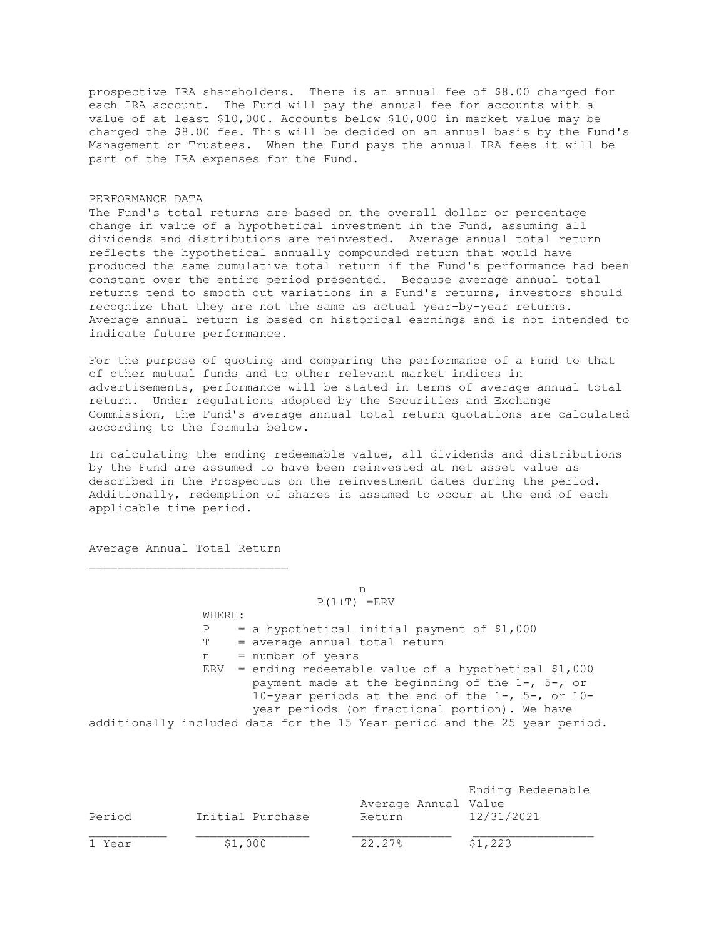prospective IRA shareholders. There is an annual fee of \$8.00 charged for each IRA account. The Fund will pay the annual fee for accounts with a value of at least \$10,000. Accounts below \$10,000 in market value may be charged the \$8.00 fee. This will be decided on an annual basis by the Fund's Management or Trustees. When the Fund pays the annual IRA fees it will be part of the IRA expenses for the Fund.

## PERFORMANCE DATA

The Fund's total returns are based on the overall dollar or percentage change in value of a hypothetical investment in the Fund, assuming all dividends and distributions are reinvested. Average annual total return reflects the hypothetical annually compounded return that would have produced the same cumulative total return if the Fund's performance had been constant over the entire period presented. Because average annual total returns tend to smooth out variations in a Fund's returns, investors should recognize that they are not the same as actual year-by-year returns. Average annual return is based on historical earnings and is not intended to indicate future performance.

For the purpose of quoting and comparing the performance of a Fund to that of other mutual funds and to other relevant market indices in advertisements, performance will be stated in terms of average annual total return. Under regulations adopted by the Securities and Exchange Commission, the Fund's average annual total return quotations are calculated according to the formula below.

In calculating the ending redeemable value, all dividends and distributions by the Fund are assumed to have been reinvested at net asset value as described in the Prospectus on the reinvestment dates during the period. Additionally, redemption of shares is assumed to occur at the end of each applicable time period.

Average Annual Total Return

 n  $P(1+T)$  =ERV WHERE:  $P = a$  hypothetical initial payment of \$1,000 T = average annual total return n = number of years ERV = ending redeemable value of a hypothetical \$1,000 payment made at the beginning of the 1-, 5-, or 10-year periods at the end of the 1-, 5-, or 10 year periods (or fractional portion). We have additionally included data for the 15 Year period and the 25 year period.

|        |                  |                      | Ending Redeemable |
|--------|------------------|----------------------|-------------------|
|        |                  | Average Annual Value |                   |
| Period | Initial Purchase | Return               | 12/31/2021        |
| 1 Year | \$1,000          | 22.27%               | \$1,223           |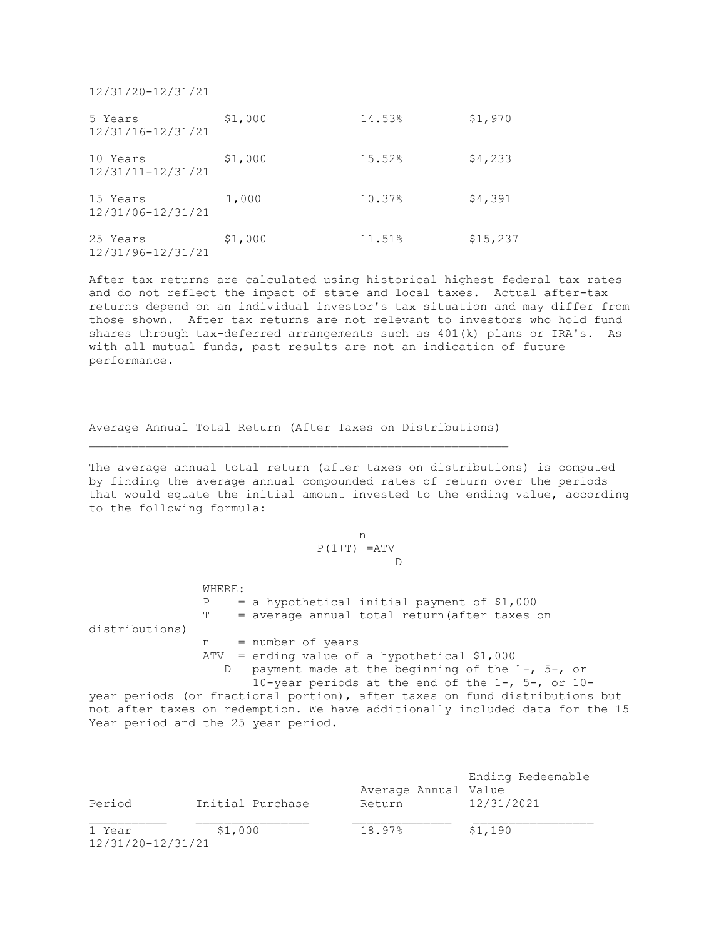12/31/20-12/31/21

| 5 Years<br>12/31/16-12/31/21  | \$1,000 | 14.53% | \$1,970  |
|-------------------------------|---------|--------|----------|
| 10 Years<br>12/31/11-12/31/21 | \$1,000 | 15.52% | \$4,233  |
| 15 Years<br>12/31/06-12/31/21 | 1,000   | 10.37% | \$4,391  |
| 25 Years<br>12/31/96-12/31/21 | \$1,000 | 11.51% | \$15,237 |

After tax returns are calculated using historical highest federal tax rates and do not reflect the impact of state and local taxes. Actual after-tax returns depend on an individual investor's tax situation and may differ from those shown. After tax returns are not relevant to investors who hold fund shares through tax-deferred arrangements such as 401(k) plans or IRA's. As with all mutual funds, past results are not an indication of future performance.

Average Annual Total Return (After Taxes on Distributions)

The average annual total return (after taxes on distributions) is computed by finding the average annual compounded rates of return over the periods that would equate the initial amount invested to the ending value, according to the following formula:

# n  $P(1+T) = ATV$ **D**

 WHERE:  $P = a$  hypothetical initial payment of \$1,000 T = average annual total return(after taxes on distributions) n = number of years ATV = ending value of a hypothetical \$1,000 D payment made at the beginning of the 1-, 5-, or 10-year periods at the end of the 1-, 5-, or 10 year periods (or fractional portion), after taxes on fund distributions but

not after taxes on redemption. We have additionally included data for the 15 Year period and the 25 year period.

| Period                      | Initial Purchase | Average Annual Value<br>Return | Ending Redeemable<br>12/31/2021 |
|-----------------------------|------------------|--------------------------------|---------------------------------|
| 1 Year<br>12/31/20-12/31/21 | \$1,000          | 18.97%                         | \$1,190                         |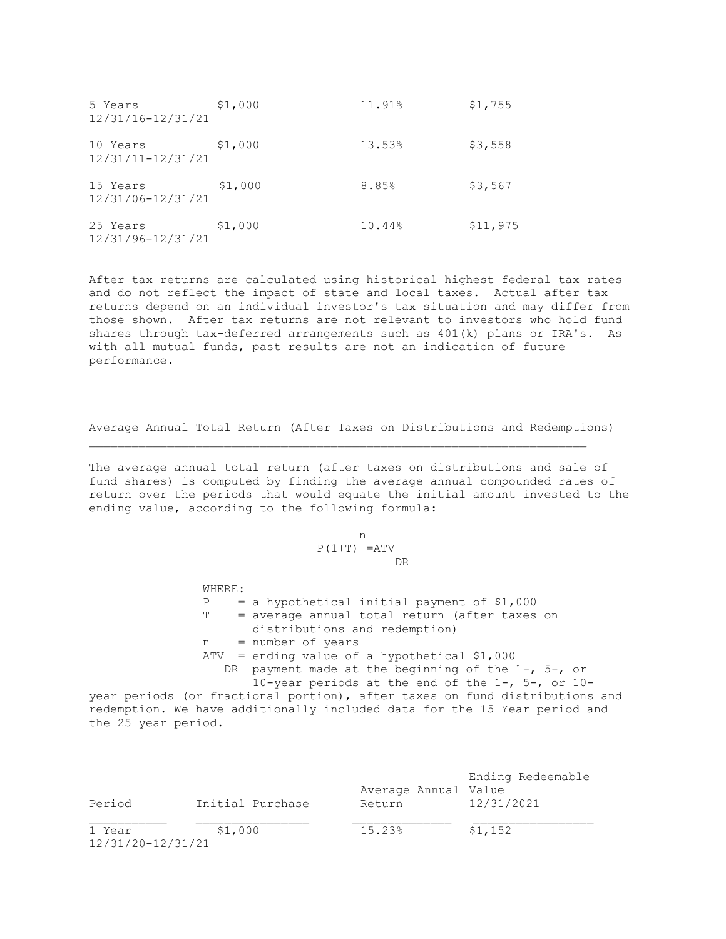| 5 Years<br>12/31/16-12/31/21  | \$1,000 | 11.91% | \$1,755  |
|-------------------------------|---------|--------|----------|
| 10 Years<br>12/31/11-12/31/21 | \$1,000 | 13.53% | \$3,558  |
| 15 Years<br>12/31/06-12/31/21 | \$1,000 | 8.85%  | \$3,567  |
| 25 Years<br>12/31/96-12/31/21 | \$1,000 | 10.44% | \$11,975 |

After tax returns are calculated using historical highest federal tax rates and do not reflect the impact of state and local taxes. Actual after tax returns depend on an individual investor's tax situation and may differ from those shown. After tax returns are not relevant to investors who hold fund shares through tax-deferred arrangements such as 401(k) plans or IRA's. As with all mutual funds, past results are not an indication of future performance.

Average Annual Total Return (After Taxes on Distributions and Redemptions)

The average annual total return (after taxes on distributions and sale of fund shares) is computed by finding the average annual compounded rates of return over the periods that would equate the initial amount invested to the ending value, according to the following formula:

# n  $P(1+T) = ATV$ DR

 WHERE:  $P = a$  hypothetical initial payment of \$1,000 T = average annual total return (after taxes on distributions and redemption) n = number of years ATV = ending value of a hypothetical \$1,000 DR payment made at the beginning of the 1-, 5-, or 10-year periods at the end of the 1-, 5-, or 10-

year periods (or fractional portion), after taxes on fund distributions and redemption. We have additionally included data for the 15 Year period and the 25 year period.

| Period                      | Initial Purchase | Average Annual Value<br>Return | Ending Redeemable<br>12/31/2021 |
|-----------------------------|------------------|--------------------------------|---------------------------------|
| 1 Year<br>12/31/20-12/31/21 | \$1,000          | 15.23%                         | \$1,152                         |